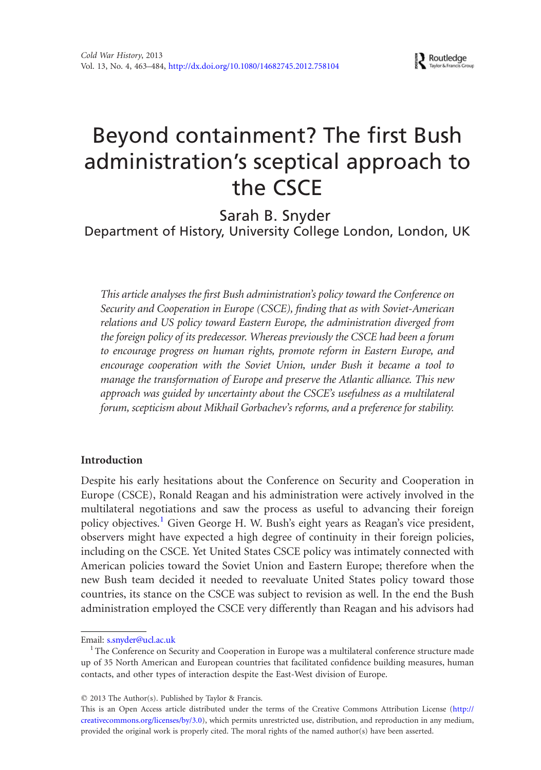Routledge Taylor & Francis Group

# Beyond containment? The first Bush administration's sceptical approach to the CSCE

Sarah B. Snyder

Department of History, University College London, London, UK

This article analyses the first Bush administration's policy toward the Conference on Security and Cooperation in Europe (CSCE), finding that as with Soviet-American relations and US policy toward Eastern Europe, the administration diverged from the foreign policy of its predecessor. Whereas previously the CSCE had been a forum to encourage progress on human rights, promote reform in Eastern Europe, and encourage cooperation with the Soviet Union, under Bush it became a tool to manage the transformation of Europe and preserve the Atlantic alliance. This new approach was guided by uncertainty about the CSCE's usefulness as a multilateral forum, scepticism about Mikhail Gorbachev's reforms, and a preference for stability.

# Introduction

Despite his early hesitations about the Conference on Security and Cooperation in Europe (CSCE), Ronald Reagan and his administration were actively involved in the multilateral negotiations and saw the process as useful to advancing their foreign policy objectives.<sup>[1](#page-0-0)</sup> Given George H. W. Bush's eight years as Reagan's vice president, observers might have expected a high degree of continuity in their foreign policies, including on the CSCE. Yet United States CSCE policy was intimately connected with American policies toward the Soviet Union and Eastern Europe; therefore when the new Bush team decided it needed to reevaluate United States policy toward those countries, its stance on the CSCE was subject to revision as well. In the end the Bush administration employed the CSCE very differently than Reagan and his advisors had

 $©$  2013 The Author(s). Published by Taylor & Francis.

<span id="page-0-0"></span>

Email: [s.snyder@ucl.ac.uk](mailto:s.snyder@ucl.ac.uk)<br><sup>1</sup> The Conference on Security and Cooperation in Europe was a multilateral conference structure made up of 35 North American and European countries that facilitated confidence building measures, human contacts, and other types of interaction despite the East-West division of Europe.

This is an Open Access article distributed under the terms of the Creative Commons Attribution License [\(http://](http://creativecommons.org/licenses/by/3.0) [creativecommons.org/licenses/by/3.0](http://creativecommons.org/licenses/by/3.0)), which permits unrestricted use, distribution, and reproduction in any medium, provided the original work is properly cited. The moral rights of the named author(s) have been asserted.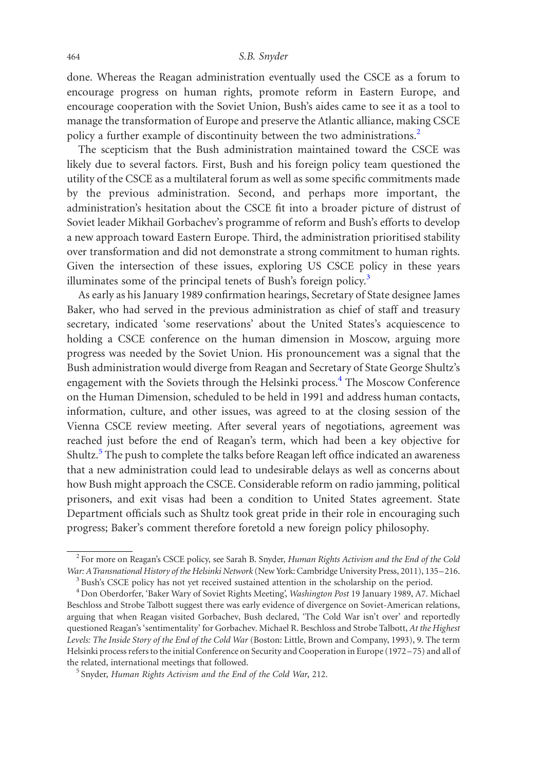done. Whereas the Reagan administration eventually used the CSCE as a forum to encourage progress on human rights, promote reform in Eastern Europe, and encourage cooperation with the Soviet Union, Bush's aides came to see it as a tool to manage the transformation of Europe and preserve the Atlantic alliance, making CSCE policy a further example of discontinuity between the two administrations.<sup>[2](#page-1-0)</sup>

The scepticism that the Bush administration maintained toward the CSCE was likely due to several factors. First, Bush and his foreign policy team questioned the utility of the CSCE as a multilateral forum as well as some specific commitments made by the previous administration. Second, and perhaps more important, the administration's hesitation about the CSCE fit into a broader picture of distrust of Soviet leader Mikhail Gorbachev's programme of reform and Bush's efforts to develop a new approach toward Eastern Europe. Third, the administration prioritised stability over transformation and did not demonstrate a strong commitment to human rights. Given the intersection of these issues, exploring US CSCE policy in these years illuminates some of the principal tenets of Bush's foreign policy.<sup>3</sup>

As early as his January 1989 confirmation hearings, Secretary of State designee James Baker, who had served in the previous administration as chief of staff and treasury secretary, indicated 'some reservations' about the United States's acquiescence to holding a CSCE conference on the human dimension in Moscow, arguing more progress was needed by the Soviet Union. His pronouncement was a signal that the Bush administration would diverge from Reagan and Secretary of State George Shultz's engagement with the Soviets through the Helsinki process.<sup>4</sup> The Moscow Conference on the Human Dimension, scheduled to be held in 1991 and address human contacts, information, culture, and other issues, was agreed to at the closing session of the Vienna CSCE review meeting. After several years of negotiations, agreement was reached just before the end of Reagan's term, which had been a key objective for Shultz.<sup>[5](#page-1-3)</sup> The push to complete the talks before Reagan left office indicated an awareness that a new administration could lead to undesirable delays as well as concerns about how Bush might approach the CSCE. Considerable reform on radio jamming, political prisoners, and exit visas had been a condition to United States agreement. State Department officials such as Shultz took great pride in their role in encouraging such progress; Baker's comment therefore foretold a new foreign policy philosophy.

<span id="page-1-0"></span> $^{2}$  For more on Reagan's CSCE policy, see Sarah B. Snyder, *Human Rights Activism and the End of the Cold War: A Transnational History of the Helsinki Network* (New York: Cambridge University Press, 2011), 135–216.

<span id="page-1-1"></span> $3$  Bush's CSCE policy has not yet received sustained attention in the scholarship on the period.

<span id="page-1-2"></span><sup>4</sup> Don Oberdorfer, 'Baker Wary of Soviet Rights Meeting', Washington Post 19 January 1989, A7. Michael Beschloss and Strobe Talbott suggest there was early evidence of divergence on Soviet-American relations, arguing that when Reagan visited Gorbachev, Bush declared, 'The Cold War isn't over' and reportedly questioned Reagan's 'sentimentality' for Gorbachev. Michael R. Beschloss and Strobe Talbott, At the Highest Levels: The Inside Story of the End of the Cold War (Boston: Little, Brown and Company, 1993), 9. The term Helsinki process refers to the initial Conference on Security and Cooperation in Europe (1972 –75) and all of the related, international meetings that followed.<br><sup>5</sup> Snyder, *Human Rights Activism and the End of the Cold War*, 212.

<span id="page-1-3"></span>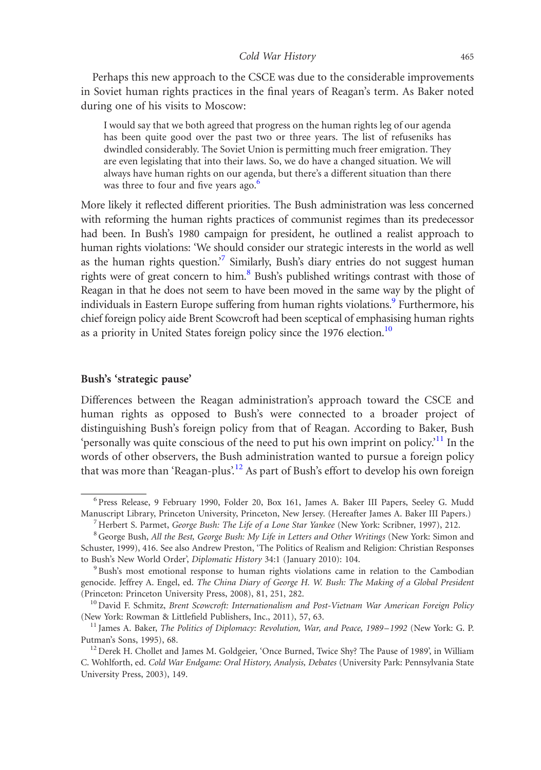Perhaps this new approach to the CSCE was due to the considerable improvements in Soviet human rights practices in the final years of Reagan's term. As Baker noted during one of his visits to Moscow:

I would say that we both agreed that progress on the human rights leg of our agenda has been quite good over the past two or three years. The list of refuseniks has dwindled considerably. The Soviet Union is permitting much freer emigration. They are even legislating that into their laws. So, we do have a changed situation. We will always have human rights on our agenda, but there's a different situation than there was three to four and five years ago. $<sup>6</sup>$  $<sup>6</sup>$  $<sup>6</sup>$ </sup>

More likely it reflected different priorities. The Bush administration was less concerned with reforming the human rights practices of communist regimes than its predecessor had been. In Bush's 1980 campaign for president, he outlined a realist approach to human rights violations: 'We should consider our strategic interests in the world as well as the human rights question.<sup>7</sup> Similarly, Bush's diary entries do not suggest human rights were of great concern to him.<sup>[8](#page-2-2)</sup> Bush's published writings contrast with those of Reagan in that he does not seem to have been moved in the same way by the plight of individuals in Eastern Europe suffering from human rights violations.<sup>9</sup> Furthermore, his chief foreign policy aide Brent Scowcroft had been sceptical of emphasising human rights as a priority in United States foreign policy since the 1976 election.<sup>[10](#page-2-4)</sup>

# Bush's 'strategic pause'

Differences between the Reagan administration's approach toward the CSCE and human rights as opposed to Bush's were connected to a broader project of distinguishing Bush's foreign policy from that of Reagan. According to Baker, Bush 'personally was quite conscious of the need to put his own imprint on policy.['11](#page-2-5) In the words of other observers, the Bush administration wanted to pursue a foreign policy that was more than 'Reagan-plus'.<sup>12</sup> As part of Bush's effort to develop his own foreign

<span id="page-2-0"></span><sup>6</sup> Press Release, 9 February 1990, Folder 20, Box 161, James A. Baker III Papers, Seeley G. Mudd Manuscript Library, Princeton University, Princeton, New Jersey. (Hereafter James A. Baker III Papers.)<br><sup>7</sup> Herbert S. Parmet, *George Bush: The Life of a Lone Star Yankee* (New York: Scribner, 1997), 212.<br><sup>8</sup> George Bush,

<span id="page-2-1"></span>

<span id="page-2-2"></span>Schuster, 1999), 416. See also Andrew Preston, 'The Politics of Realism and Religion: Christian Responses to Bush's New World Order', *Diplomatic History* 34:1 (January 2010): 104.<br><sup>9</sup> Bush's most emotional response to human rights violations came in relation to the Cambodian

<span id="page-2-3"></span>genocide. Jeffrey A. Engel, ed. The China Diary of George H. W. Bush: The Making of a Global President (Princeton: Princeton University Press, 2008), 81, 251, 282.<br><sup>10</sup> David F. Schmitz, *Brent Scowcroft: Internationalism and Post-Vietnam War American Foreign Policy* 

<span id="page-2-4"></span><sup>(</sup>New York: Rowman & Littlefield Publishers, Inc., 2011), 57, 63.<br><sup>11</sup> James A. Baker, *The Politics of Diplomacy: Revolution, War, and Peace, 1989–1992* (New York: G. P.

<span id="page-2-5"></span>Putman's Sons, 1995), 68.<br><sup>12</sup> Derek H. Chollet and James M. Goldgeier, 'Once Burned, Twice Shy? The Pause of 1989', in William

<span id="page-2-6"></span>C. Wohlforth, ed. Cold War Endgame: Oral History, Analysis, Debates (University Park: Pennsylvania State University Press, 2003), 149.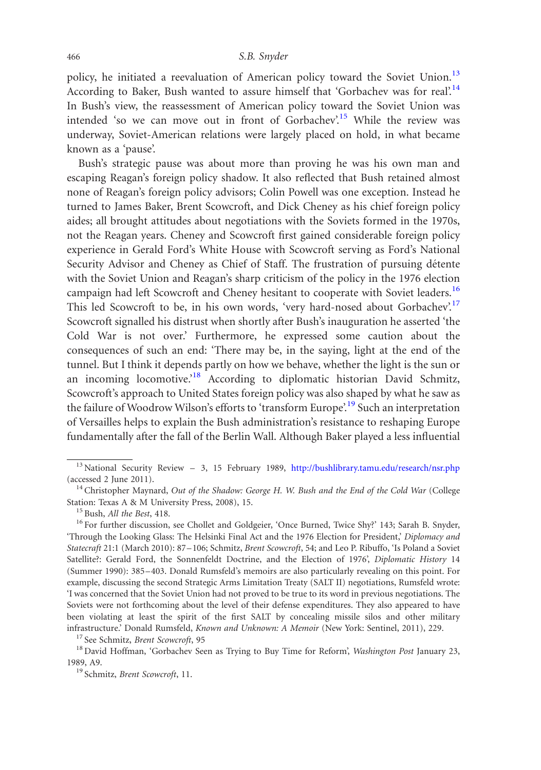policy, he initiated a reevaluation of American policy toward the Soviet Union.<sup>[13](#page-3-0)</sup> According to Baker, Bush wanted to assure himself that 'Gorbachev was for real'.<sup>14</sup> In Bush's view, the reassessment of American policy toward the Soviet Union was intended 'so we can move out in front of Gorbachev'.<sup>15</sup> While the review was underway, Soviet-American relations were largely placed on hold, in what became known as a 'pause'.

Bush's strategic pause was about more than proving he was his own man and escaping Reagan's foreign policy shadow. It also reflected that Bush retained almost none of Reagan's foreign policy advisors; Colin Powell was one exception. Instead he turned to James Baker, Brent Scowcroft, and Dick Cheney as his chief foreign policy aides; all brought attitudes about negotiations with the Soviets formed in the 1970s, not the Reagan years. Cheney and Scowcroft first gained considerable foreign policy experience in Gerald Ford's White House with Scowcroft serving as Ford's National Security Advisor and Cheney as Chief of Staff. The frustration of pursuing détente with the Soviet Union and Reagan's sharp criticism of the policy in the 1976 election campaign had left Scowcroft and Cheney hesitant to cooperate with Soviet leaders.<sup>[16](#page-3-3)</sup> This led Scowcroft to be, in his own words, 'very hard-nosed about Gorbachev'.<sup>17</sup> Scowcroft signalled his distrust when shortly after Bush's inauguration he asserted 'the Cold War is not over.' Furthermore, he expressed some caution about the consequences of such an end: 'There may be, in the saying, light at the end of the tunnel. But I think it depends partly on how we behave, whether the light is the sun or an incoming locomotive.<sup>[18](#page-3-5)</sup> According to diplomatic historian David Schmitz, Scowcroft's approach to United States foreign policy was also shaped by what he saw as the failure of Woodrow Wilson's efforts to 'transform Europe'.<sup>[19](#page-3-6)</sup> Such an interpretation of Versailles helps to explain the Bush administration's resistance to reshaping Europe fundamentally after the fall of the Berlin Wall. Although Baker played a less influential

<span id="page-3-0"></span><sup>&</sup>lt;sup>13</sup> National Security Review - 3, 15 February 1989, <http://bushlibrary.tamu.edu/research/nsr.php>

<span id="page-3-1"></span><sup>(</sup>accessed 2 June 2011).<br><sup>14</sup> Christopher Maynard, *Out of the Shadow: George H. W. Bush and the End of the Cold War (College Station: Texas A & M University Press, 2008), 15.* 

<span id="page-3-3"></span><span id="page-3-2"></span><sup>&</sup>lt;sup>15</sup> Bush, *All the Best*, 418.<br><sup>16</sup> For further discussion, see Chollet and Goldgeier, 'Once Burned, Twice Shy?' 143; Sarah B. Snyder, 'Through the Looking Glass: The Helsinki Final Act and the 1976 Election for President,' Diplomacy and Statecraft 21:1 (March 2010): 87–106; Schmitz, Brent Scowcroft, 54; and Leo P. Ribuffo, 'Is Poland a Soviet Satellite?: Gerald Ford, the Sonnenfeldt Doctrine, and the Election of 1976', Diplomatic History 14 (Summer 1990): 385 –403. Donald Rumsfeld's memoirs are also particularly revealing on this point. For example, discussing the second Strategic Arms Limitation Treaty (SALT II) negotiations, Rumsfeld wrote: 'I was concerned that the Soviet Union had not proved to be true to its word in previous negotiations. The Soviets were not forthcoming about the level of their defense expenditures. They also appeared to have been violating at least the spirit of the first SALT by concealing missile silos and other military infrastructure.' Donald Rumsfeld, *Known and Unknown: A Memoir* (New York: Sentinel, 2011), 229.<br><sup>17</sup> See Schmitz, *Brent Scowcroft*, 95<br><sup>18</sup> David Hoffman, 'Gorbachev Seen as Trying to Buy Time for Reform', *Washington Po* 

<span id="page-3-4"></span>

<span id="page-3-5"></span><sup>1989,</sup> A9. <sup>19</sup> Schmitz, Brent Scowcroft, 11.

<span id="page-3-6"></span>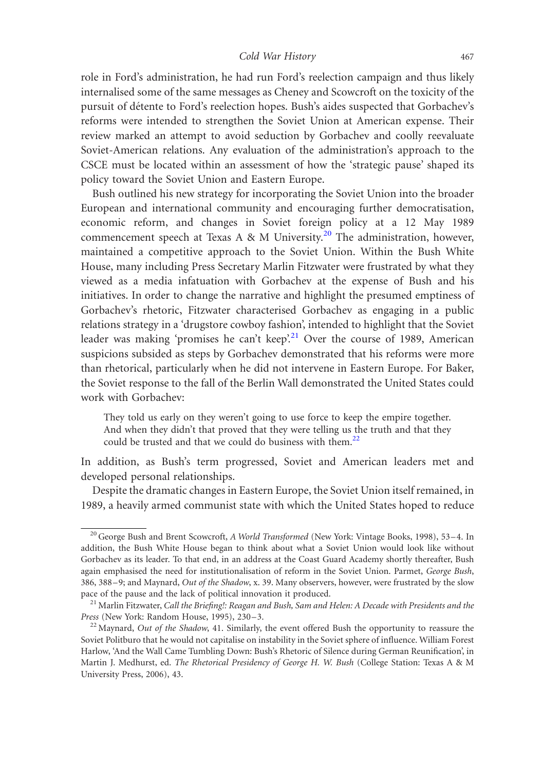role in Ford's administration, he had run Ford's reelection campaign and thus likely internalised some of the same messages as Cheney and Scowcroft on the toxicity of the pursuit of détente to Ford's reelection hopes. Bush's aides suspected that Gorbachev's reforms were intended to strengthen the Soviet Union at American expense. Their review marked an attempt to avoid seduction by Gorbachev and coolly reevaluate Soviet-American relations. Any evaluation of the administration's approach to the CSCE must be located within an assessment of how the 'strategic pause' shaped its policy toward the Soviet Union and Eastern Europe.

Bush outlined his new strategy for incorporating the Soviet Union into the broader European and international community and encouraging further democratisation, economic reform, and changes in Soviet foreign policy at a 12 May 1989 commencement speech at Texas A & M University.<sup>[20](#page-4-0)</sup> The administration, however, maintained a competitive approach to the Soviet Union. Within the Bush White House, many including Press Secretary Marlin Fitzwater were frustrated by what they viewed as a media infatuation with Gorbachev at the expense of Bush and his initiatives. In order to change the narrative and highlight the presumed emptiness of Gorbachev's rhetoric, Fitzwater characterised Gorbachev as engaging in a public relations strategy in a 'drugstore cowboy fashion', intended to highlight that the Soviet leader was making 'promises he can't keep'.<sup>21</sup> Over the course of 1989, American suspicions subsided as steps by Gorbachev demonstrated that his reforms were more than rhetorical, particularly when he did not intervene in Eastern Europe. For Baker, the Soviet response to the fall of the Berlin Wall demonstrated the United States could work with Gorbachev:

They told us early on they weren't going to use force to keep the empire together. And when they didn't that proved that they were telling us the truth and that they could be trusted and that we could do business with them.<sup>22</sup>

In addition, as Bush's term progressed, Soviet and American leaders met and developed personal relationships.

Despite the dramatic changes in Eastern Europe, the Soviet Union itself remained, in 1989, a heavily armed communist state with which the United States hoped to reduce

<span id="page-4-0"></span><sup>&</sup>lt;sup>20</sup> George Bush and Brent Scowcroft, A World Transformed (New York: Vintage Books, 1998), 53-4. In addition, the Bush White House began to think about what a Soviet Union would look like without Gorbachev as its leader. To that end, in an address at the Coast Guard Academy shortly thereafter, Bush again emphasised the need for institutionalisation of reform in the Soviet Union. Parmet, George Bush, 386, 388 –9; and Maynard, Out of the Shadow, x. 39. Many observers, however, were frustrated by the slow pace of the pause and the lack of political innovation it produced.<br><sup>21</sup> Marlin Fitzwater, Call the Briefing!: Reagan and Bush, Sam and Helen: A Decade with Presidents and the

<span id="page-4-1"></span>*Press* (New York: Random House, 1995), 230–3.<br><sup>22</sup> Maynard, *Out of the Shadow*, 41. Similarly, the event offered Bush the opportunity to reassure the

<span id="page-4-2"></span>Soviet Politburo that he would not capitalise on instability in the Soviet sphere of influence. William Forest Harlow, 'And the Wall Came Tumbling Down: Bush's Rhetoric of Silence during German Reunification', in Martin J. Medhurst, ed. The Rhetorical Presidency of George H. W. Bush (College Station: Texas A & M University Press, 2006), 43.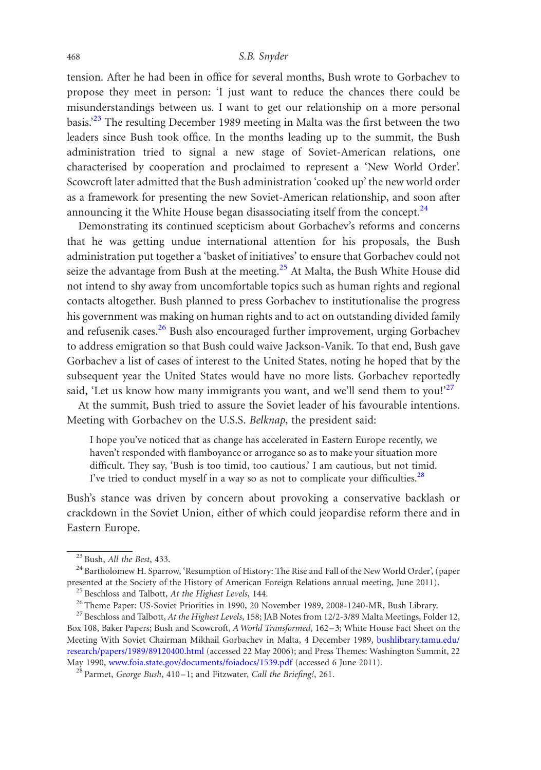tension. After he had been in office for several months, Bush wrote to Gorbachev to propose they meet in person: 'I just want to reduce the chances there could be misunderstandings between us. I want to get our relationship on a more personal basis.<sup>23</sup> The resulting December 1989 meeting in Malta was the first between the two leaders since Bush took office. In the months leading up to the summit, the Bush administration tried to signal a new stage of Soviet-American relations, one characterised by cooperation and proclaimed to represent a 'New World Order'. Scowcroft later admitted that the Bush administration 'cooked up' the new world order as a framework for presenting the new Soviet-American relationship, and soon after announcing it the White House began disassociating itself from the concept.<sup>24</sup>

Demonstrating its continued scepticism about Gorbachev's reforms and concerns that he was getting undue international attention for his proposals, the Bush administration put together a 'basket of initiatives' to ensure that Gorbachev could not seize the advantage from Bush at the meeting.<sup>[25](#page-5-2)</sup> At Malta, the Bush White House did not intend to shy away from uncomfortable topics such as human rights and regional contacts altogether. Bush planned to press Gorbachev to institutionalise the progress his government was making on human rights and to act on outstanding divided family and refusenik cases.<sup>[26](#page-5-3)</sup> Bush also encouraged further improvement, urging Gorbachev to address emigration so that Bush could waive Jackson-Vanik. To that end, Bush gave Gorbachev a list of cases of interest to the United States, noting he hoped that by the subsequent year the United States would have no more lists. Gorbachev reportedly said, 'Let us know how many immigrants you want, and we'll send them to you!'<sup>[27](#page-5-4)</sup>

At the summit, Bush tried to assure the Soviet leader of his favourable intentions. Meeting with Gorbachev on the U.S.S. Belknap, the president said:

I hope you've noticed that as change has accelerated in Eastern Europe recently, we haven't responded with flamboyance or arrogance so as to make your situation more difficult. They say, 'Bush is too timid, too cautious.' I am cautious, but not timid. I've tried to conduct myself in a way so as not to complicate your difficulties. $^{28}$  $^{28}$  $^{28}$ 

Bush's stance was driven by concern about provoking a conservative backlash or crackdown in the Soviet Union, either of which could jeopardise reform there and in Eastern Europe.

<span id="page-5-1"></span><span id="page-5-0"></span><sup>&</sup>lt;sup>23</sup> Bush, *All the Best*, 433.<br><sup>24</sup> Bartholomew H. Sparrow, 'Resumption of History: The Rise and Fall of the New World Order', (paper presented at the Society of the History of American Foreign Relations annual meeting, June 2011).<br><sup>25</sup> Beschloss and Talbott, *At the Highest Levels*, 144.<br><sup>26</sup> Theme Paper: US-Soviet Priorities in 1990, 20 November 1989,

<span id="page-5-2"></span>

<span id="page-5-3"></span>

<span id="page-5-4"></span>Box 108, Baker Papers; Bush and Scowcroft, AWorld Transformed, 162–3; White House Fact Sheet on the Meeting With Soviet Chairman Mikhail Gorbachev in Malta, 4 December 1989, [bushlibrary.tamu.edu/](http://bushlibrary.tamu.edu/research/papers/1989/89120400.html) [research/papers/1989/89120400.html](http://bushlibrary.tamu.edu/research/papers/1989/89120400.html) (accessed 22 May 2006); and Press Themes: Washington Summit, 22 May 1990, [www.foia.state.gov/documents/foiadocs/1539.pdf](http://www.foia.state.gov/documents/foiadocs/1539.pdf) (accessed 6 June 2011).<br><sup>28</sup> Parmet, George Bush, 410-1; and Fitzwater, Call the Briefing!, 261.

<span id="page-5-5"></span>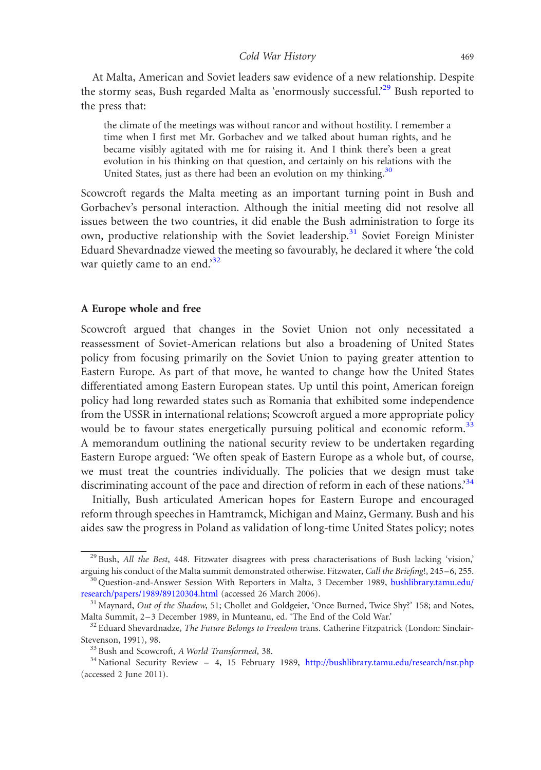At Malta, American and Soviet leaders saw evidence of a new relationship. Despite the stormy seas, Bush regarded Malta as 'enormously successful.<sup>29</sup> Bush reported to the press that:

the climate of the meetings was without rancor and without hostility. I remember a time when I first met Mr. Gorbachev and we talked about human rights, and he became visibly agitated with me for raising it. And I think there's been a great evolution in his thinking on that question, and certainly on his relations with the United States, just as there had been an evolution on my thinking. $30$ 

Scowcroft regards the Malta meeting as an important turning point in Bush and Gorbachev's personal interaction. Although the initial meeting did not resolve all issues between the two countries, it did enable the Bush administration to forge its own, productive relationship with the Soviet leadership.<sup>31</sup> Soviet Foreign Minister Eduard Shevardnadze viewed the meeting so favourably, he declared it where 'the cold war quietly came to an end.<sup>[32](#page-6-3)</sup>

# A Europe whole and free

Scowcroft argued that changes in the Soviet Union not only necessitated a reassessment of Soviet-American relations but also a broadening of United States policy from focusing primarily on the Soviet Union to paying greater attention to Eastern Europe. As part of that move, he wanted to change how the United States differentiated among Eastern European states. Up until this point, American foreign policy had long rewarded states such as Romania that exhibited some independence from the USSR in international relations; Scowcroft argued a more appropriate policy would be to favour states energetically pursuing political and economic reform.<sup>[33](#page-6-4)</sup> A memorandum outlining the national security review to be undertaken regarding Eastern Europe argued: 'We often speak of Eastern Europe as a whole but, of course, we must treat the countries individually. The policies that we design must take discriminating account of the pace and direction of reform in each of these nations.<sup>[34](#page-6-5)</sup>

Initially, Bush articulated American hopes for Eastern Europe and encouraged reform through speeches in Hamtramck, Michigan and Mainz, Germany. Bush and his aides saw the progress in Poland as validation of long-time United States policy; notes

<span id="page-6-0"></span><sup>&</sup>lt;sup>29</sup> Bush, *All the Best*, 448. Fitzwater disagrees with press characterisations of Bush lacking 'vision,' arguing his conduct of the Malta summit demonstrated otherwise. Fitzwater, *Call the Briefing*!, 245–6, 255.

<span id="page-6-1"></span><sup>&</sup>lt;sup>30</sup> Question-and-Answer Session With Reporters in Malta, 3 December 1989, [bushlibrary.tamu.edu/](http://bushlibrary.tamu.edu/research/papers/1989/89120304.html) [research/papers/1989/89120304.html](http://bushlibrary.tamu.edu/research/papers/1989/89120304.html) (accessed 26 March 2006).<br><sup>31</sup> Maynard, *Out of the Shadow*, 51; Chollet and Goldgeier, 'Once Burned, Twice Shy?' 158; and Notes,

<span id="page-6-2"></span>Malta Summit, 2–3 December 1989, in Munteanu, ed. 'The End of the Cold War.' <sup>32</sup> Eduard Shevardnadze, *The Future Belongs to Freedom* trans. Catherine Fitzpatrick (London: Sinclair-

<span id="page-6-3"></span>Stevenson, 1991), 98.<br><sup>33</sup> Bush and Scowcroft, *A World Transformed*, 38.<br><sup>34</sup> National Security Review – 4, 15 February 1989, <http://bushlibrary.tamu.edu/research/nsr.php>

<span id="page-6-4"></span>

<span id="page-6-5"></span><sup>(</sup>accessed 2 June 2011).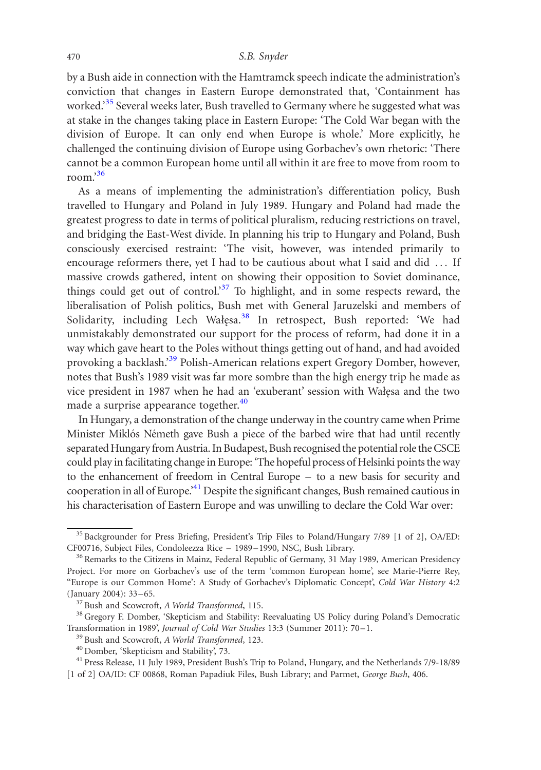by a Bush aide in connection with the Hamtramck speech indicate the administration's conviction that changes in Eastern Europe demonstrated that, 'Containment has worked.<sup>35</sup> Several weeks later, Bush travelled to Germany where he suggested what was at stake in the changes taking place in Eastern Europe: 'The Cold War began with the division of Europe. It can only end when Europe is whole.' More explicitly, he challenged the continuing division of Europe using Gorbachev's own rhetoric: 'There cannot be a common European home until all within it are free to move from room to room.['36](#page-7-1)

As a means of implementing the administration's differentiation policy, Bush travelled to Hungary and Poland in July 1989. Hungary and Poland had made the greatest progress to date in terms of political pluralism, reducing restrictions on travel, and bridging the East-West divide. In planning his trip to Hungary and Poland, Bush consciously exercised restraint: 'The visit, however, was intended primarily to encourage reformers there, yet I had to be cautious about what I said and did ... If massive crowds gathered, intent on showing their opposition to Soviet dominance, things could get out of control.<sup>[37](#page-7-2)</sup> To highlight, and in some respects reward, the liberalisation of Polish politics, Bush met with General Jaruzelski and members of Solidarity, including Lech Wałęsa.<sup>[38](#page-7-3)</sup> In retrospect, Bush reported: 'We had unmistakably demonstrated our support for the process of reform, had done it in a way which gave heart to the Poles without things getting out of hand, and had avoided provoking a backlash.['39](#page-7-4) Polish-American relations expert Gregory Domber, however, notes that Bush's 1989 visit was far more sombre than the high energy trip he made as vice president in 1987 when he had an 'exuberant' session with Wałęsa and the two made a surprise appearance together.<sup>[40](#page-7-5)</sup>

In Hungary, a demonstration of the change underway in the country came when Prime Minister Miklós Németh gave Bush a piece of the barbed wire that had until recently separated Hungary from Austria. In Budapest, Bush recognised the potential role the CSCE could play in facilitating change in Europe: 'The hopeful process of Helsinki points the way to the enhancement of freedom in Central Europe – to a new basis for security and cooperation in all of Europe.['41](#page-7-6) Despite the significant changes, Bush remained cautious in his characterisation of Eastern Europe and was unwilling to declare the Cold War over:

<span id="page-7-0"></span> $35$  Backgrounder for Press Briefing, President's Trip Files to Poland/Hungary 7/89 [1 of 2], OA/ED: CF00716, Subject Files, Condoleezza Rice - 1989-1990, NSC, Bush Library.

<span id="page-7-1"></span><sup>&</sup>lt;sup>36</sup> Remarks to the Citizens in Mainz, Federal Republic of Germany, 31 May 1989, American Presidency Project. For more on Gorbachev's use of the term 'common European home', see Marie-Pierre Rey, ''Europe is our Common Home': A Study of Gorbachev's Diplomatic Concept', Cold War History 4:2 (January 2004): 33–65.<br><sup>37</sup> Bush and Scowcroft, *A World Transformed*, 115.<br><sup>38</sup> Gregory F. Domber, 'Skepticism and Stability: Reevaluating US Policy during Poland's Democratic

<span id="page-7-2"></span>

<span id="page-7-3"></span>Transformation in 1989', Journal of Cold War Studies 13:3 (Summer 2011): 70–1.<br><sup>39</sup> Bush and Scowcroft, *A World Transformed*, 123.<br><sup>40</sup> Domber, 'Skepticism and Stability', 73.<br><sup>41</sup> Press Release, 11 July 1989, President

<span id="page-7-4"></span>

<span id="page-7-5"></span>

<span id="page-7-6"></span><sup>[1</sup> of 2] OA/ID: CF 00868, Roman Papadiuk Files, Bush Library; and Parmet, George Bush, 406.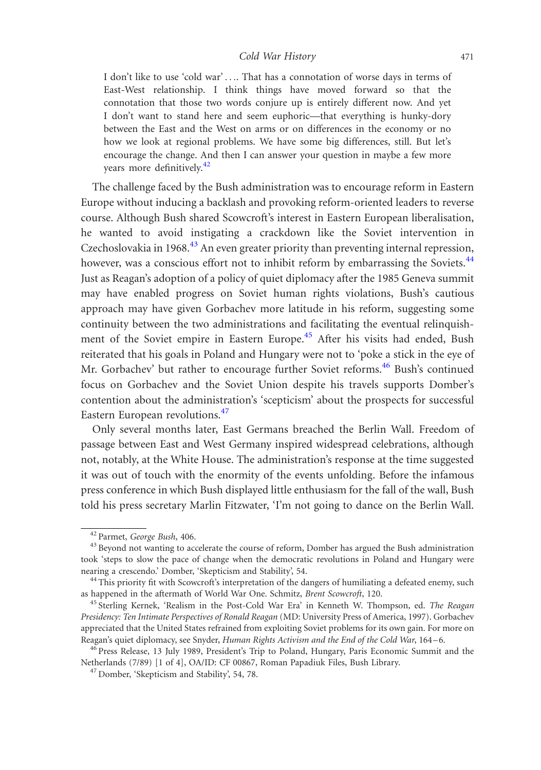I don't like to use 'cold war' .... That has a connotation of worse days in terms of East-West relationship. I think things have moved forward so that the connotation that those two words conjure up is entirely different now. And yet I don't want to stand here and seem euphoric—that everything is hunky-dory between the East and the West on arms or on differences in the economy or no how we look at regional problems. We have some big differences, still. But let's encourage the change. And then I can answer your question in maybe a few more years more definitively.<sup>[42](#page-8-0)</sup>

The challenge faced by the Bush administration was to encourage reform in Eastern Europe without inducing a backlash and provoking reform-oriented leaders to reverse course. Although Bush shared Scowcroft's interest in Eastern European liberalisation, he wanted to avoid instigating a crackdown like the Soviet intervention in Czechoslovakia in 1968 $<sup>43</sup>$  An even greater priority than preventing internal repression,</sup> however, was a conscious effort not to inhibit reform by embarrassing the Soviets.<sup>[44](#page-8-2)</sup> Just as Reagan's adoption of a policy of quiet diplomacy after the 1985 Geneva summit may have enabled progress on Soviet human rights violations, Bush's cautious approach may have given Gorbachev more latitude in his reform, suggesting some continuity between the two administrations and facilitating the eventual relinquish-ment of the Soviet empire in Eastern Europe.<sup>[45](#page-8-3)</sup> After his visits had ended, Bush reiterated that his goals in Poland and Hungary were not to 'poke a stick in the eye of Mr. Gorbachev' but rather to encourage further Soviet reforms.<sup>[46](#page-8-4)</sup> Bush's continued focus on Gorbachev and the Soviet Union despite his travels supports Domber's contention about the administration's 'scepticism' about the prospects for successful Eastern European revolutions.<sup>[47](#page-8-5)</sup>

Only several months later, East Germans breached the Berlin Wall. Freedom of passage between East and West Germany inspired widespread celebrations, although not, notably, at the White House. The administration's response at the time suggested it was out of touch with the enormity of the events unfolding. Before the infamous press conference in which Bush displayed little enthusiasm for the fall of the wall, Bush told his press secretary Marlin Fitzwater, 'I'm not going to dance on the Berlin Wall.

<span id="page-8-1"></span><span id="page-8-0"></span> $42$  Parmet, George Bush, 406.<br> $43$  Beyond not wanting to accelerate the course of reform, Domber has argued the Bush administration took 'steps to slow the pace of change when the democratic revolutions in Poland and Hungary were nearing a crescendo.' Domber, 'Skepticism and Stability', 54.<br><sup>44</sup> This priority fit with Scowcroft's interpretation of the dangers of humiliating a defeated enemy, such

<span id="page-8-2"></span>as happened in the aftermath of World War One. Schmitz, *Brent Scowcroft*, 120.<br><sup>45</sup> Sterling Kernek, 'Realism in the Post-Cold War Era' in Kenneth W. Thompson, ed. *The Reagan* 

<span id="page-8-3"></span>Presidency: Ten Intimate Perspectives of Ronald Reagan (MD: University Press of America, 1997). Gorbachev appreciated that the United States refrained from exploiting Soviet problems for its own gain. For more on Reagan's quiet diplomacy, see Snyder, Human Rights Activism and the End of the Cold War, 164–6.<br><sup>46</sup> Press Release, 13 July 1989, President's Trip to Poland, Hungary, Paris Economic Summit and the

<span id="page-8-4"></span>Netherlands (7/89) [1 of 4], OA/ID: CF 00867, Roman Papadiuk Files, Bush Library. <sup>47</sup> Domber, 'Skepticism and Stability', 54, 78.

<span id="page-8-5"></span>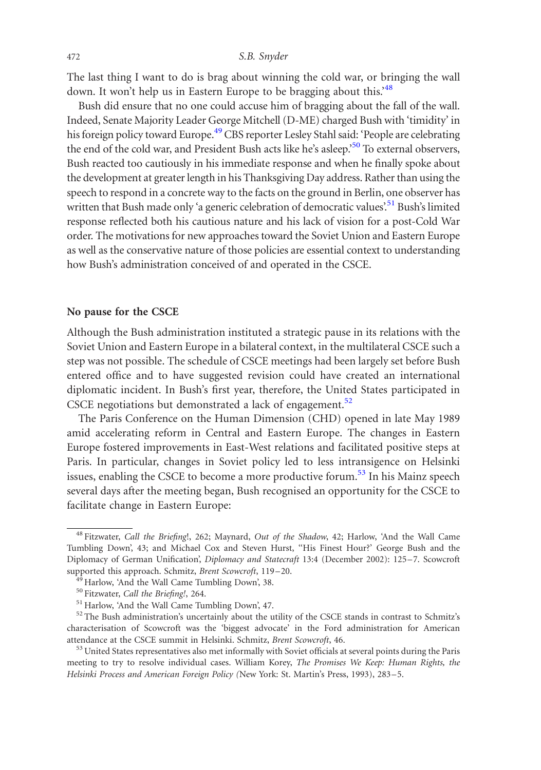The last thing I want to do is brag about winning the cold war, or bringing the wall down. It won't help us in Eastern Europe to be bragging about this.<sup>18</sup>

Bush did ensure that no one could accuse him of bragging about the fall of the wall. Indeed, Senate Majority Leader George Mitchell (D-ME) charged Bush with 'timidity' in his foreign policy toward Europe.<sup>49</sup> CBS reporter Lesley Stahl said: 'People are celebrating the end of the cold war, and President Bush acts like he's asleep.['50](#page-9-2) To external observers, Bush reacted too cautiously in his immediate response and when he finally spoke about the development at greater length in his Thanksgiving Day address. Rather than using the speech to respond in a concrete way to the facts on the ground in Berlin, one observer has written that Bush made only 'a generic celebration of democratic values.<sup>51</sup> Bush's limited response reflected both his cautious nature and his lack of vision for a post-Cold War order. The motivations for new approaches toward the Soviet Union and Eastern Europe as well as the conservative nature of those policies are essential context to understanding how Bush's administration conceived of and operated in the CSCE.

# No pause for the CSCE

Although the Bush administration instituted a strategic pause in its relations with the Soviet Union and Eastern Europe in a bilateral context, in the multilateral CSCE such a step was not possible. The schedule of CSCE meetings had been largely set before Bush entered office and to have suggested revision could have created an international diplomatic incident. In Bush's first year, therefore, the United States participated in CSCE negotiations but demonstrated a lack of engagement.<sup>[52](#page-9-4)</sup>

The Paris Conference on the Human Dimension (CHD) opened in late May 1989 amid accelerating reform in Central and Eastern Europe. The changes in Eastern Europe fostered improvements in East-West relations and facilitated positive steps at Paris. In particular, changes in Soviet policy led to less intransigence on Helsinki issues, enabling the CSCE to become a more productive forum.<sup>[53](#page-9-5)</sup> In his Mainz speech several days after the meeting began, Bush recognised an opportunity for the CSCE to facilitate change in Eastern Europe:

<span id="page-9-0"></span><sup>48</sup> Fitzwater, Call the Briefing!, 262; Maynard, Out of the Shadow, 42; Harlow, 'And the Wall Came Tumbling Down', 43; and Michael Cox and Steven Hurst, "His Finest Hour?' George Bush and the Diplomacy of German Unification', Diplomacy and Statecraft 13:4 (December 2002): 125-7. Scowcroft supported this approach. Schmitz, *Brent Scowcroft*, 119–20.<br><sup>49</sup> Harlow, 'And the Wall Came Tumbling Down', 38.<br><sup>50</sup> Fitzwater, *Call the Briefing!*, 264.<br><sup>51</sup> Harlow, 'And the Wall Came Tumbling Down', 47.<br><sup>52</sup> The Bush

<span id="page-9-1"></span>

<span id="page-9-2"></span>

<span id="page-9-3"></span>

<span id="page-9-4"></span>characterisation of Scowcroft was the 'biggest advocate' in the Ford administration for American attendance at the CSCE summit in Helsinki. Schmitz, *Brent Scowcroft*, 46.

<span id="page-9-5"></span><sup>&</sup>lt;sup>53</sup> United States representatives also met informally with Soviet officials at several points during the Paris meeting to try to resolve individual cases. William Korey, The Promises We Keep: Human Rights, the Helsinki Process and American Foreign Policy (New York: St. Martin's Press, 1993), 283–5.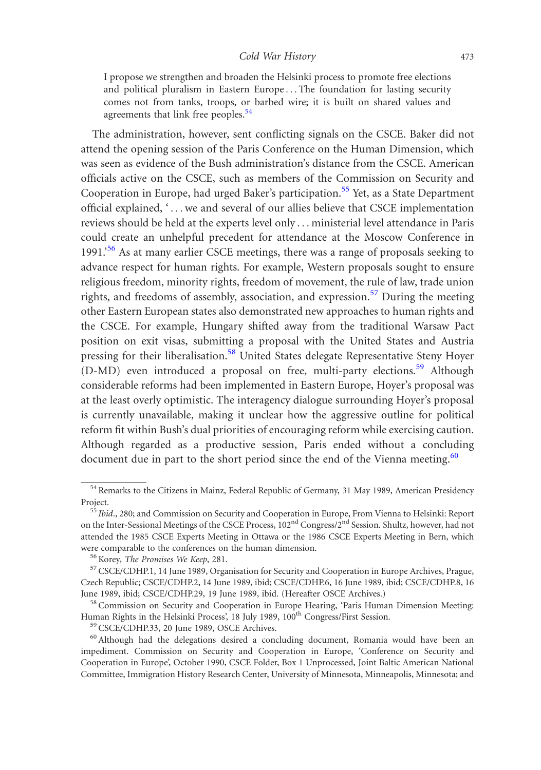I propose we strengthen and broaden the Helsinki process to promote free elections and political pluralism in Eastern Europe ... The foundation for lasting security comes not from tanks, troops, or barbed wire; it is built on shared values and agreements that link free peoples.<sup>[54](#page-10-0)</sup>

The administration, however, sent conflicting signals on the CSCE. Baker did not attend the opening session of the Paris Conference on the Human Dimension, which was seen as evidence of the Bush administration's distance from the CSCE. American officials active on the CSCE, such as members of the Commission on Security and Cooperation in Europe, had urged Baker's participation.<sup>[55](#page-10-1)</sup> Yet, as a State Department official explained, ' ...we and several of our allies believe that CSCE implementation reviews should be held at the experts level only ... ministerial level attendance in Paris could create an unhelpful precedent for attendance at the Moscow Conference in 1991.<sup>[56](#page-10-2)</sup> As at many earlier CSCE meetings, there was a range of proposals seeking to advance respect for human rights. For example, Western proposals sought to ensure religious freedom, minority rights, freedom of movement, the rule of law, trade union rights, and freedoms of assembly, association, and expression.<sup>57</sup> During the meeting other Eastern European states also demonstrated new approaches to human rights and the CSCE. For example, Hungary shifted away from the traditional Warsaw Pact position on exit visas, submitting a proposal with the United States and Austria pressing for their liberalisation.<sup>[58](#page-10-4)</sup> United States delegate Representative Steny Hoyer (D-MD) even introduced a proposal on free, multi-party elections.<sup>[59](#page-10-5)</sup> Although considerable reforms had been implemented in Eastern Europe, Hoyer's proposal was at the least overly optimistic. The interagency dialogue surrounding Hoyer's proposal is currently unavailable, making it unclear how the aggressive outline for political reform fit within Bush's dual priorities of encouraging reform while exercising caution. Although regarded as a productive session, Paris ended without a concluding document due in part to the short period since the end of the Vienna meeting.<sup>[60](#page-10-6)</sup>

<span id="page-10-4"></span>Human Rights in the Helsinki Process', 18 July 1989,  $100^{\text{th}}$  Congress/First Session.<br><sup>59</sup>CSCE/CDHP.33, 20 June 1989, OSCE Archives.<br><sup>60</sup> Although had the delegations desired a concluding document, Romania would have b

<span id="page-10-5"></span>

<span id="page-10-0"></span><sup>54</sup> Remarks to the Citizens in Mainz, Federal Republic of Germany, 31 May 1989, American Presidency Project.<br><sup>55</sup> Ibid., 280; and Commission on Security and Cooperation in Europe, From Vienna to Helsinki: Report

<span id="page-10-1"></span>on the Inter-Sessional Meetings of the CSCE Process, 102<sup>nd</sup> Congress/2<sup>nd</sup> Session. Shultz, however, had not attended the 1985 CSCE Experts Meeting in Ottawa or the 1986 CSCE Experts Meeting in Bern, which were comparable to the conferences on the human dimension.<br><sup>56</sup>Korey, *The Promises We Keep*, 281.<br><sup>57</sup> CSCE/CDHP.1, 14 June 1989, Organisation for Security and Cooperation in Europe Archives, Prague,

<span id="page-10-2"></span>

<span id="page-10-3"></span>Czech Republic; CSCE/CDHP.2, 14 June 1989, ibid; CSCE/CDHP.6, 16 June 1989, ibid; CSCE/CDHP.8, 16 June 1989, ibid; CSCE/CDHP.29, 19 June 1989, ibid. (Hereafter OSCE Archives.)<br><sup>58</sup> Commission on Security and Cooperation in Europe Hearing, 'Paris Human Dimension Meeting:

<span id="page-10-6"></span>impediment. Commission on Security and Cooperation in Europe, 'Conference on Security and Cooperation in Europe', October 1990, CSCE Folder, Box 1 Unprocessed, Joint Baltic American National Committee, Immigration History Research Center, University of Minnesota, Minneapolis, Minnesota; and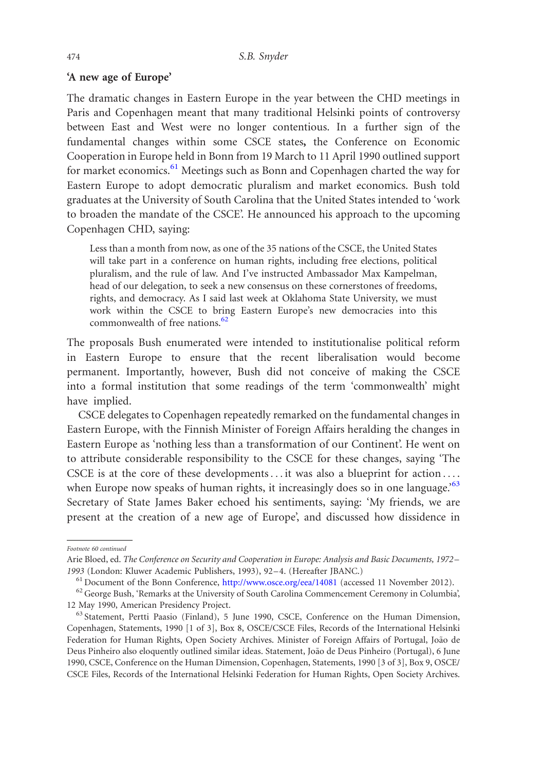# 'A new age of Europe'

The dramatic changes in Eastern Europe in the year between the CHD meetings in Paris and Copenhagen meant that many traditional Helsinki points of controversy between East and West were no longer contentious. In a further sign of the fundamental changes within some CSCE states, the Conference on Economic Cooperation in Europe held in Bonn from 19 March to 11 April 1990 outlined support for market economics.<sup>[61](#page-11-0)</sup> Meetings such as Bonn and Copenhagen charted the way for Eastern Europe to adopt democratic pluralism and market economics. Bush told graduates at the University of South Carolina that the United States intended to 'work to broaden the mandate of the CSCE'. He announced his approach to the upcoming Copenhagen CHD, saying:

Less than a month from now, as one of the 35 nations of the CSCE, the United States will take part in a conference on human rights, including free elections, political pluralism, and the rule of law. And I've instructed Ambassador Max Kampelman, head of our delegation, to seek a new consensus on these cornerstones of freedoms, rights, and democracy. As I said last week at Oklahoma State University, we must work within the CSCE to bring Eastern Europe's new democracies into this commonwealth of free nations.<sup>[62](#page-11-1)</sup>

The proposals Bush enumerated were intended to institutionalise political reform in Eastern Europe to ensure that the recent liberalisation would become permanent. Importantly, however, Bush did not conceive of making the CSCE into a formal institution that some readings of the term 'commonwealth' might have implied.

CSCE delegates to Copenhagen repeatedly remarked on the fundamental changes in Eastern Europe, with the Finnish Minister of Foreign Affairs heralding the changes in Eastern Europe as 'nothing less than a transformation of our Continent'. He went on to attribute considerable responsibility to the CSCE for these changes, saying 'The CSCE is at the core of these developments... it was also a blueprint for action ... . when Europe now speaks of human rights, it increasingly does so in one language.<sup>63</sup> Secretary of State James Baker echoed his sentiments, saying: 'My friends, we are present at the creation of a new age of Europe', and discussed how dissidence in

Footnote 60 continued

Arie Bloed, ed. The Conference on Security and Cooperation in Europe: Analysis and Basic Documents, 1972–1993 (London: Kluwer Academic Publishers, 1993), 92-4. (Hereafter JBANC.)

<span id="page-11-1"></span><span id="page-11-0"></span> $^{61}$  Document of the Bonn Conference, <http://www.osce.org/eea/14081> (accessed 11 November 2012).<br>  $^{62}$  George Bush, 'Remarks at the University of South Carolina Commencement Ceremony in Columbia', 12 May 1990, American Presidency Project.<br><sup>63</sup> Statement, Pertti Paasio (Finland), 5 June 1990, CSCE, Conference on the Human Dimension,

<span id="page-11-2"></span>Copenhagen, Statements, 1990 [1 of 3], Box 8, OSCE/CSCE Files, Records of the International Helsinki Federation for Human Rights, Open Society Archives. Minister of Foreign Affairs of Portugal, João de Deus Pinheiro also eloquently outlined similar ideas. Statement, João de Deus Pinheiro (Portugal), 6 June 1990, CSCE, Conference on the Human Dimension, Copenhagen, Statements, 1990 [3 of 3], Box 9, OSCE/ CSCE Files, Records of the International Helsinki Federation for Human Rights, Open Society Archives.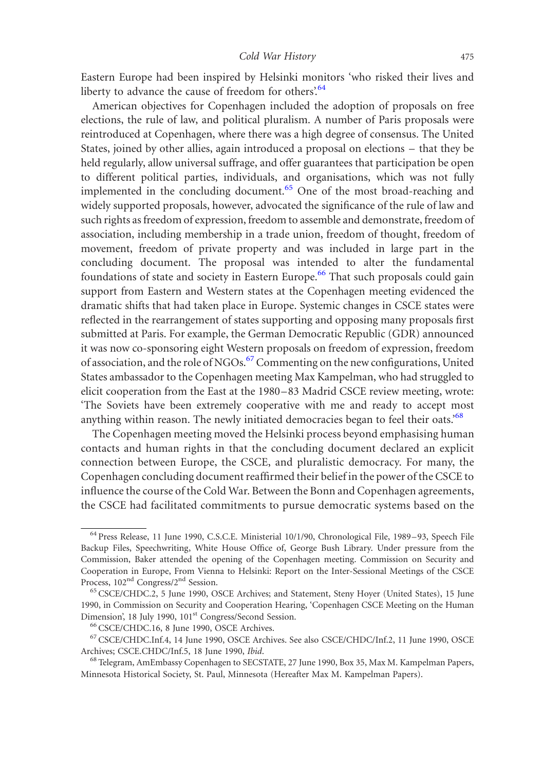Eastern Europe had been inspired by Helsinki monitors 'who risked their lives and liberty to advance the cause of freedom for others'.<sup>[64](#page-12-0)</sup>

American objectives for Copenhagen included the adoption of proposals on free elections, the rule of law, and political pluralism. A number of Paris proposals were reintroduced at Copenhagen, where there was a high degree of consensus. The United States, joined by other allies, again introduced a proposal on elections – that they be held regularly, allow universal suffrage, and offer guarantees that participation be open to different political parties, individuals, and organisations, which was not fully implemented in the concluding document.<sup>[65](#page-12-1)</sup> One of the most broad-reaching and widely supported proposals, however, advocated the significance of the rule of law and such rights as freedom of expression, freedom to assemble and demonstrate, freedom of association, including membership in a trade union, freedom of thought, freedom of movement, freedom of private property and was included in large part in the concluding document. The proposal was intended to alter the fundamental foundations of state and society in Eastern Europe.<sup>[66](#page-12-2)</sup> That such proposals could gain support from Eastern and Western states at the Copenhagen meeting evidenced the dramatic shifts that had taken place in Europe. Systemic changes in CSCE states were reflected in the rearrangement of states supporting and opposing many proposals first submitted at Paris. For example, the German Democratic Republic (GDR) announced it was now co-sponsoring eight Western proposals on freedom of expression, freedom of association, and the role of NGOs.<sup>67</sup> Commenting on the new configurations, United States ambassador to the Copenhagen meeting Max Kampelman, who had struggled to elicit cooperation from the East at the 1980–83 Madrid CSCE review meeting, wrote: 'The Soviets have been extremely cooperative with me and ready to accept most anything within reason. The newly initiated democracies began to feel their oats.<sup>68</sup>

The Copenhagen meeting moved the Helsinki process beyond emphasising human contacts and human rights in that the concluding document declared an explicit connection between Europe, the CSCE, and pluralistic democracy. For many, the Copenhagen concluding document reaffirmed their belief in the power of the CSCE to influence the course of the Cold War. Between the Bonn and Copenhagen agreements, the CSCE had facilitated commitments to pursue democratic systems based on the

<span id="page-12-0"></span><sup>64</sup> Press Release, 11 June 1990, C.S.C.E. Ministerial 10/1/90, Chronological File, 1989–93, Speech File Backup Files, Speechwriting, White House Office of, George Bush Library. Under pressure from the Commission, Baker attended the opening of the Copenhagen meeting. Commission on Security and Cooperation in Europe, From Vienna to Helsinki: Report on the Inter-Sessional Meetings of the CSCE<br>Process, 102<sup>nd</sup> Congress/2<sup>nd</sup> Session.

<span id="page-12-1"></span><sup>&</sup>lt;sup>65</sup> CSCE/CHDC.2, 5 June 1990, OSCE Archives; and Statement, Steny Hoyer (United States), 15 June 1990, in Commission on Security and Cooperation Hearing, 'Copenhagen CSCE Meeting on the Human Dimension', 18 July 1990, 101<sup>st</sup> Congress/Second Session.<br><sup>66</sup> CSCE/CHDC.16, 8 June 1990, OSCE Archives.<br><sup>67</sup> CSCE/CHDC.Inf.4, 14 June 1990, OSCE Archives. See also CSCE/CHDC/Inf.2, 11 June 1990, OSCE

<span id="page-12-2"></span>

<span id="page-12-3"></span>Archives; CSCE.CHDC/Inf.5, 18 June 1990, *Ibid.* 68 Telegram, AmEmbassy Copenhagen to SECSTATE, 27 June 1990, Box 35, Max M. Kampelman Papers,

<span id="page-12-4"></span>Minnesota Historical Society, St. Paul, Minnesota (Hereafter Max M. Kampelman Papers).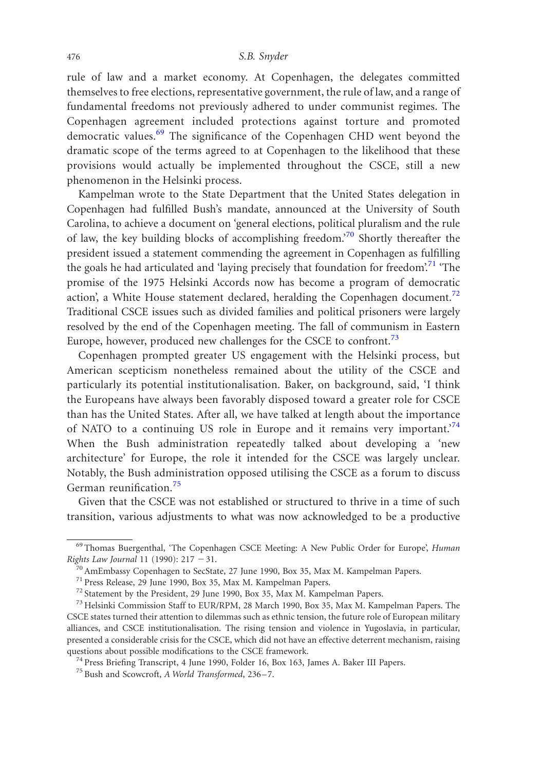rule of law and a market economy. At Copenhagen, the delegates committed themselves to free elections, representative government, the rule of law, and a range of fundamental freedoms not previously adhered to under communist regimes. The Copenhagen agreement included protections against torture and promoted democratic values.<sup>[69](#page-13-0)</sup> The significance of the Copenhagen CHD went beyond the dramatic scope of the terms agreed to at Copenhagen to the likelihood that these provisions would actually be implemented throughout the CSCE, still a new phenomenon in the Helsinki process.

Kampelman wrote to the State Department that the United States delegation in Copenhagen had fulfilled Bush's mandate, announced at the University of South Carolina, to achieve a document on 'general elections, political pluralism and the rule of law, the key building blocks of accomplishing freedom.<sup>[70](#page-13-1)</sup> Shortly thereafter the president issued a statement commending the agreement in Copenhagen as fulfilling the goals he had articulated and 'laying precisely that foundation for freedom'.<sup>71</sup> 'The promise of the 1975 Helsinki Accords now has become a program of democratic action', a White House statement declared, heralding the Copenhagen document.<sup>[72](#page-13-3)</sup> Traditional CSCE issues such as divided families and political prisoners were largely resolved by the end of the Copenhagen meeting. The fall of communism in Eastern Europe, however, produced new challenges for the CSCE to confront.<sup>[73](#page-13-4)</sup>

Copenhagen prompted greater US engagement with the Helsinki process, but American scepticism nonetheless remained about the utility of the CSCE and particularly its potential institutionalisation. Baker, on background, said, 'I think the Europeans have always been favorably disposed toward a greater role for CSCE than has the United States. After all, we have talked at length about the importance of NATO to a continuing US role in Europe and it remains very important.<sup>[74](#page-13-5)</sup> When the Bush administration repeatedly talked about developing a 'new architecture' for Europe, the role it intended for the CSCE was largely unclear. Notably, the Bush administration opposed utilising the CSCE as a forum to discuss German reunification.[75](#page-13-6)

Given that the CSCE was not established or structured to thrive in a time of such transition, various adjustments to what was now acknowledged to be a productive

<span id="page-13-0"></span><sup>&</sup>lt;sup>69</sup> Thomas Buergenthal, 'The Copenhagen CSCE Meeting: A New Public Order for Europe', *Human Rights Law Journal* 11 (1990): 217 – 31.

<span id="page-13-1"></span> $\frac{20}{70}$  AmEmbassy Copenhagen to SecState, 27 June 1990, Box 35, Max M. Kampelman Papers.<br><sup>71</sup> Press Release, 29 June 1990, Box 35, Max M. Kampelman Papers.<br><sup>72</sup> Statement by the President, 29 June 1990, Box 35, Max M.

<span id="page-13-2"></span>

<span id="page-13-3"></span>

<span id="page-13-4"></span>CSCE states turned their attention to dilemmas such as ethnic tension, the future role of European military alliances, and CSCE institutionalisation. The rising tension and violence in Yugoslavia, in particular, presented a considerable crisis for the CSCE, which did not have an effective deterrent mechanism, raising questions about possible modifications to the CSCE framework. <sup>74</sup> Press Briefing Transcript, 4 June 1990, Folder 16, Box 163, James A. Baker III Papers. <sup>75</sup> Bush and Scowcroft, *A World Transformed*, 236–7.

<span id="page-13-5"></span>

<span id="page-13-6"></span>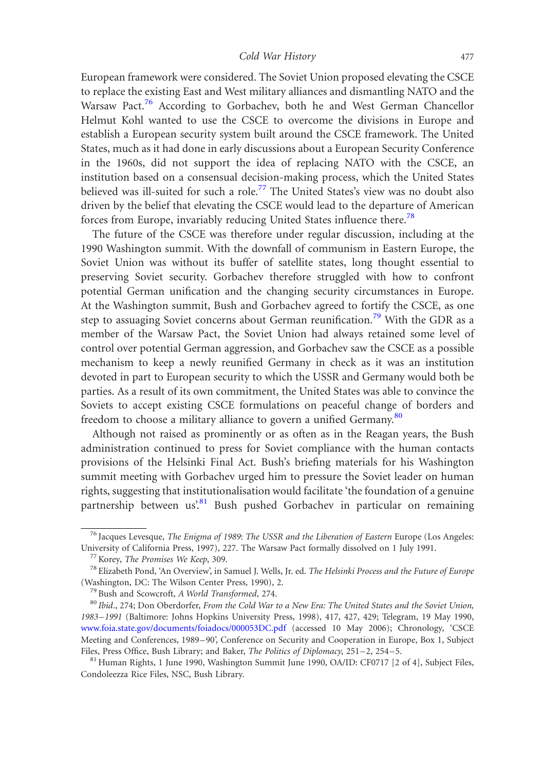European framework were considered. The Soviet Union proposed elevating the CSCE to replace the existing East and West military alliances and dismantling NATO and the Warsaw Pact.<sup>[76](#page-14-0)</sup> According to Gorbachev, both he and West German Chancellor Helmut Kohl wanted to use the CSCE to overcome the divisions in Europe and establish a European security system built around the CSCE framework. The United States, much as it had done in early discussions about a European Security Conference in the 1960s, did not support the idea of replacing NATO with the CSCE, an institution based on a consensual decision-making process, which the United States believed was ill-suited for such a role.<sup>[77](#page-14-1)</sup> The United States's view was no doubt also driven by the belief that elevating the CSCE would lead to the departure of American forces from Europe, invariably reducing United States influence there.<sup>[78](#page-14-2)</sup>

The future of the CSCE was therefore under regular discussion, including at the 1990 Washington summit. With the downfall of communism in Eastern Europe, the Soviet Union was without its buffer of satellite states, long thought essential to preserving Soviet security. Gorbachev therefore struggled with how to confront potential German unification and the changing security circumstances in Europe. At the Washington summit, Bush and Gorbachev agreed to fortify the CSCE, as one step to assuaging Soviet concerns about German reunification.<sup>[79](#page-14-3)</sup> With the GDR as a member of the Warsaw Pact, the Soviet Union had always retained some level of control over potential German aggression, and Gorbachev saw the CSCE as a possible mechanism to keep a newly reunified Germany in check as it was an institution devoted in part to European security to which the USSR and Germany would both be parties. As a result of its own commitment, the United States was able to convince the Soviets to accept existing CSCE formulations on peaceful change of borders and freedom to choose a military alliance to govern a unified Germany.<sup>[80](#page-14-4)</sup>

Although not raised as prominently or as often as in the Reagan years, the Bush administration continued to press for Soviet compliance with the human contacts provisions of the Helsinki Final Act. Bush's briefing materials for his Washington summit meeting with Gorbachev urged him to pressure the Soviet leader on human rights, suggesting that institutionalisation would facilitate 'the foundation of a genuine partnership between us'.<sup>[81](#page-14-5)</sup> Bush pushed Gorbachev in particular on remaining

<span id="page-14-0"></span><sup>&</sup>lt;sup>76</sup> Jacques Levesque, *The Enigma of 1989: The USSR and the Liberation of Eastern Europe (Los Angeles: University of California Press, 1997), 227. The Warsaw Pact formally dissolved on 1 July 1991.* 

<span id="page-14-2"></span><span id="page-14-1"></span><sup>&</sup>lt;sup>77</sup> Korey, *The Promises We Keep*, 309.<br><sup>78</sup> Elizabeth Pond, 'An Overview', in Samuel J. Wells, Jr. ed. *The Helsinki Process and the Future of Europe* (Washington, DC: The Wilson Center Press, 1990), 2.<br><sup>79</sup> Bush and Scowcroft, *A World Transformed*, 274.<br><sup>80</sup> Ibid., 274; Don Oberdorfer, From the Cold War to a New Era: The United States and the Soviet Union,

<span id="page-14-3"></span>

<span id="page-14-4"></span><sup>1983 –1991</sup> (Baltimore: Johns Hopkins University Press, 1998), 417, 427, 429; Telegram, 19 May 1990, [www.foia.state.gov/documents/foiadocs/000053DC.pdf](http://www.foia.state.gov/documents/foiadocs/000053DC.pdf) (accessed 10 May 2006); Chronology, 'CSCE Meeting and Conferences, 1989 –90', Conference on Security and Cooperation in Europe, Box 1, Subject Files, Press Office, Bush Library; and Baker, *The Politics of Diplomacy*, 251–2, 254–5.<br><sup>81</sup> Human Rights, 1 June 1990, Washington Summit June 1990, OA/ID: CF0717 [2 of 4], Subject Files,

<span id="page-14-5"></span>Condoleezza Rice Files, NSC, Bush Library.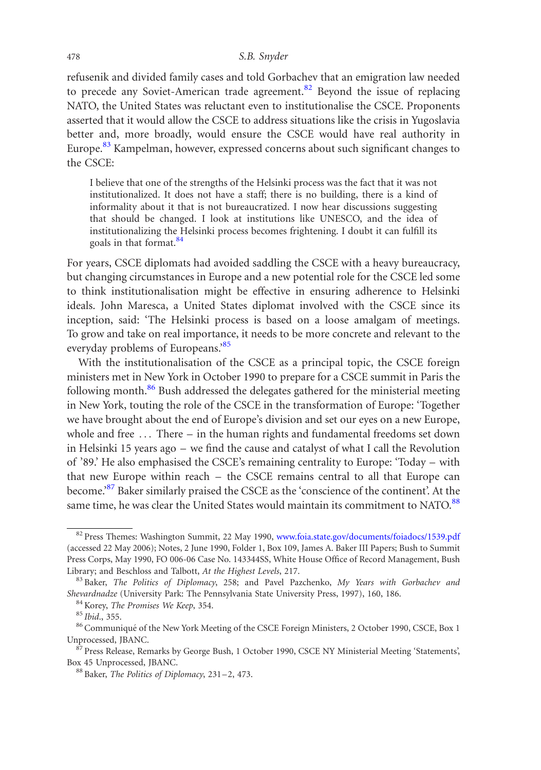refusenik and divided family cases and told Gorbachev that an emigration law needed to precede any Soviet-American trade agreement. $82$  Beyond the issue of replacing NATO, the United States was reluctant even to institutionalise the CSCE. Proponents asserted that it would allow the CSCE to address situations like the crisis in Yugoslavia better and, more broadly, would ensure the CSCE would have real authority in Europe.<sup>[83](#page-15-1)</sup> Kampelman, however, expressed concerns about such significant changes to the CSCE:

I believe that one of the strengths of the Helsinki process was the fact that it was not institutionalized. It does not have a staff; there is no building, there is a kind of informality about it that is not bureaucratized. I now hear discussions suggesting that should be changed. I look at institutions like UNESCO, and the idea of institutionalizing the Helsinki process becomes frightening. I doubt it can fulfill its goals in that format.<sup>[84](#page-15-2)</sup>

For years, CSCE diplomats had avoided saddling the CSCE with a heavy bureaucracy, but changing circumstances in Europe and a new potential role for the CSCE led some to think institutionalisation might be effective in ensuring adherence to Helsinki ideals. John Maresca, a United States diplomat involved with the CSCE since its inception, said: 'The Helsinki process is based on a loose amalgam of meetings. To grow and take on real importance, it needs to be more concrete and relevant to the everyday problems of Europeans.<sup>85</sup>

With the institutionalisation of the CSCE as a principal topic, the CSCE foreign ministers met in New York in October 1990 to prepare for a CSCE summit in Paris the following month.<sup>86</sup> Bush addressed the delegates gathered for the ministerial meeting in New York, touting the role of the CSCE in the transformation of Europe: 'Together we have brought about the end of Europe's division and set our eyes on a new Europe, whole and free ... There – in the human rights and fundamental freedoms set down in Helsinki 15 years ago – we find the cause and catalyst of what I call the Revolution of '89.' He also emphasised the CSCE's remaining centrality to Europe: 'Today – with that new Europe within reach – the CSCE remains central to all that Europe can become.['87](#page-15-5) Baker similarly praised the CSCE as the 'conscience of the continent'. At the same time, he was clear the United States would maintain its commitment to NATO.<sup>88</sup>

<span id="page-15-0"></span><sup>&</sup>lt;sup>82</sup> Press Themes: Washington Summit, 22 May 1990, [www.foia.state.gov/documents/foiadocs/1539.pdf](http://www.foia.state.gov/documents/foiadocs/1539.pdf) (accessed 22 May 2006); Notes, 2 June 1990, Folder 1, Box 109, James A. Baker III Papers; Bush to Summit Press Corps, May 1990, FO 006-06 Case No. 143344SS, White House Office of Record Management, Bush Library; and Beschloss and Talbott, At the Highest Levels, 217.<br><sup>83</sup> Baker, *The Politics of Diplomacy*, 258; and Pavel Pazchenko, *My Years with Gorbachev and* 

<span id="page-15-1"></span>Shevardnadze (University Park: The Pennsylvania State University Press, 1997), 160, 186.<br><sup>84</sup> Korey, *The Promises We Keep*, 354.<br><sup>85</sup> Ibid., 355.<br><sup>86</sup> Communiqué of the New York Meeting of the CSCE Foreign Ministers, 2 Oc

<span id="page-15-2"></span>

<span id="page-15-3"></span>

<span id="page-15-4"></span>Unprocessed, JBANC.<br><sup>87</sup> Press Release, Remarks by George Bush, 1 October 1990, CSCE NY Ministerial Meeting 'Statements',

<span id="page-15-5"></span>Box 45 Unprocessed, JBANC.<br><sup>88</sup> Baker, *The Politics of Diplomacy*, 231–2, 473.

<span id="page-15-6"></span>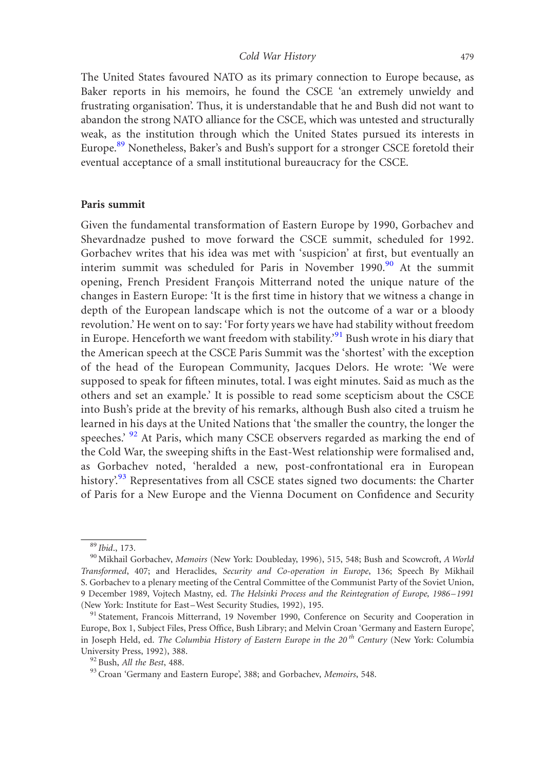The United States favoured NATO as its primary connection to Europe because, as Baker reports in his memoirs, he found the CSCE 'an extremely unwieldy and frustrating organisation'. Thus, it is understandable that he and Bush did not want to abandon the strong NATO alliance for the CSCE, which was untested and structurally weak, as the institution through which the United States pursued its interests in Europe.<sup>[89](#page-16-0)</sup> Nonetheless, Baker's and Bush's support for a stronger CSCE foretold their eventual acceptance of a small institutional bureaucracy for the CSCE.

## Paris summit

Given the fundamental transformation of Eastern Europe by 1990, Gorbachev and Shevardnadze pushed to move forward the CSCE summit, scheduled for 1992. Gorbachev writes that his idea was met with 'suspicion' at first, but eventually an interim summit was scheduled for Paris in November 19[90](#page-16-1).<sup>90</sup> At the summit opening, French President François Mitterrand noted the unique nature of the changes in Eastern Europe: 'It is the first time in history that we witness a change in depth of the European landscape which is not the outcome of a war or a bloody revolution.' He went on to say: 'For forty years we have had stability without freedom in Europe. Henceforth we want freedom with stability.<sup>'[91](#page-16-2)</sup> Bush wrote in his diary that the American speech at the CSCE Paris Summit was the 'shortest' with the exception of the head of the European Community, Jacques Delors. He wrote: 'We were supposed to speak for fifteen minutes, total. I was eight minutes. Said as much as the others and set an example.' It is possible to read some scepticism about the CSCE into Bush's pride at the brevity of his remarks, although Bush also cited a truism he learned in his days at the United Nations that 'the smaller the country, the longer the speeches.<sup>[92](#page-16-3)</sup> At Paris, which many CSCE observers regarded as marking the end of the Cold War, the sweeping shifts in the East-West relationship were formalised and, as Gorbachev noted, 'heralded a new, post-confrontational era in European history'.<sup>[93](#page-16-4)</sup> Representatives from all CSCE states signed two documents: the Charter of Paris for a New Europe and the Vienna Document on Confidence and Security

<span id="page-16-1"></span><span id="page-16-0"></span><sup>&</sup>lt;sup>89</sup> Ibid., 173.<br><sup>90</sup> Mikhail Gorbachev, *Memoirs* (New York: Doubleday, 1996), 515, 548; Bush and Scowcroft, *A World* Transformed, 407; and Heraclides, Security and Co-operation in Europe, 136; Speech By Mikhail S. Gorbachev to a plenary meeting of the Central Committee of the Communist Party of the Soviet Union, 9 December 1989, Vojtech Mastny, ed. The Helsinki Process and the Reintegration of Europe, 1986-1991 (New York: Institute for East–West Security Studies, 1992), 195.<br><sup>91</sup> Statement, Francois Mitterrand, 19 November 1990, Conference on Security and Cooperation in

<span id="page-16-2"></span>Europe, Box 1, Subject Files, Press Office, Bush Library; and Melvin Croan 'Germany and Eastern Europe', in Joseph Held, ed. The Columbia History of Eastern Europe in the 20<sup>th</sup> Century (New York: Columbia University Press, 1992), 388.<br><sup>92</sup> Bush, All the Best, 488.<br><sup>93</sup> Croan 'Germany and Eastern Europe', 388; and Gorbachev, *Memoirs*, 548.

<span id="page-16-3"></span>

<span id="page-16-4"></span>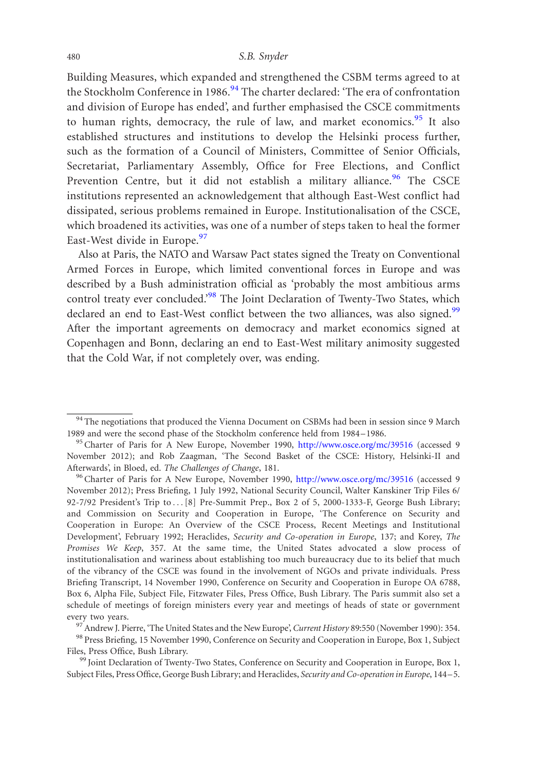Building Measures, which expanded and strengthened the CSBM terms agreed to at the Stockholm Conference in 1986.<sup>[94](#page-17-0)</sup> The charter declared: 'The era of confrontation and division of Europe has ended', and further emphasised the CSCE commitments to human rights, democracy, the rule of law, and market economics.<sup>[95](#page-17-1)</sup> It also established structures and institutions to develop the Helsinki process further, such as the formation of a Council of Ministers, Committee of Senior Officials, Secretariat, Parliamentary Assembly, Office for Free Elections, and Conflict Prevention Centre, but it did not establish a military alliance.<sup>[96](#page-17-2)</sup> The CSCE institutions represented an acknowledgement that although East-West conflict had dissipated, serious problems remained in Europe. Institutionalisation of the CSCE, which broadened its activities, was one of a number of steps taken to heal the former East-West divide in Europe.<sup>[97](#page-17-3)</sup>

Also at Paris, the NATO and Warsaw Pact states signed the Treaty on Conventional Armed Forces in Europe, which limited conventional forces in Europe and was described by a Bush administration official as 'probably the most ambitious arms control treaty ever concluded.<sup>[98](#page-17-4)</sup> The Joint Declaration of Twenty-Two States, which declared an end to East-West conflict between the two alliances, was also signed.<sup>[99](#page-17-5)</sup> After the important agreements on democracy and market economics signed at Copenhagen and Bonn, declaring an end to East-West military animosity suggested that the Cold War, if not completely over, was ending.

<span id="page-17-4"></span>Files, Press Office, Bush Library.<br><sup>99</sup> Joint Declaration of Twenty-Two States, Conference on Security and Cooperation in Europe, Box 1,

<span id="page-17-0"></span><sup>&</sup>lt;sup>94</sup> The negotiations that produced the Vienna Document on CSBMs had been in session since 9 March 1989 and were the second phase of the Stockholm conference held from 1984–1986.<br><sup>95</sup>Charter of Paris for A New Europe, November 1990, <http://www.osce.org/mc/39516> (accessed 9

<span id="page-17-1"></span>November 2012); and Rob Zaagman, 'The Second Basket of the CSCE: History, Helsinki-II and Afterwards', in Bloed, ed. The Challenges of Change, 181.<br><sup>96</sup>Charter of Paris for A New Europe, November 1990, <http://www.osce.org/mc/39516> (accessed 9

<span id="page-17-2"></span>November 2012); Press Briefing, 1 July 1992, National Security Council, Walter Kanskiner Trip Files 6/ 92-7/92 President's Trip to ...[8] Pre-Summit Prep., Box 2 of 5, 2000-1333-F, George Bush Library; and Commission on Security and Cooperation in Europe, 'The Conference on Security and Cooperation in Europe: An Overview of the CSCE Process, Recent Meetings and Institutional Development', February 1992; Heraclides, Security and Co-operation in Europe, 137; and Korey, The Promises We Keep, 357. At the same time, the United States advocated a slow process of institutionalisation and wariness about establishing too much bureaucracy due to its belief that much of the vibrancy of the CSCE was found in the involvement of NGOs and private individuals. Press Briefing Transcript, 14 November 1990, Conference on Security and Cooperation in Europe OA 6788, Box 6, Alpha File, Subject File, Fitzwater Files, Press Office, Bush Library. The Paris summit also set a schedule of meetings of foreign ministers every year and meetings of heads of state or government every two years. 97 Andrew J. Pierre, 'The United States and the New Europe', *Current History* 89:550 (November 1990): 354. 98 Press Briefing, 15 November 1990, Conference on Security and Cooperation in Europe, Box 1, Sub

<span id="page-17-3"></span>

<span id="page-17-5"></span>Subject Files, Press Office, George Bush Library; and Heraclides, Security and Co-operation in Europe, 144–5.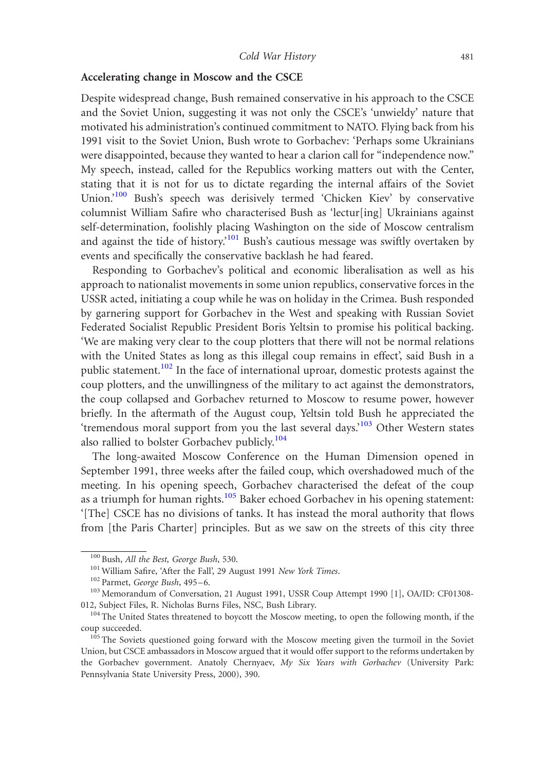# Accelerating change in Moscow and the CSCE

Despite widespread change, Bush remained conservative in his approach to the CSCE and the Soviet Union, suggesting it was not only the CSCE's 'unwieldy' nature that motivated his administration's continued commitment to NATO. Flying back from his 1991 visit to the Soviet Union, Bush wrote to Gorbachev: 'Perhaps some Ukrainians were disappointed, because they wanted to hear a clarion call for "independence now." My speech, instead, called for the Republics working matters out with the Center, stating that it is not for us to dictate regarding the internal affairs of the Soviet Union.<sup>'[100](#page-18-0)</sup> Bush's speech was derisively termed 'Chicken Kiev' by conservative columnist William Safire who characterised Bush as 'lectur[ing] Ukrainians against self-determination, foolishly placing Washington on the side of Moscow centralism and against the tide of history.['101](#page-18-1) Bush's cautious message was swiftly overtaken by events and specifically the conservative backlash he had feared.

Responding to Gorbachev's political and economic liberalisation as well as his approach to nationalist movements in some union republics, conservative forces in the USSR acted, initiating a coup while he was on holiday in the Crimea. Bush responded by garnering support for Gorbachev in the West and speaking with Russian Soviet Federated Socialist Republic President Boris Yeltsin to promise his political backing. 'We are making very clear to the coup plotters that there will not be normal relations with the United States as long as this illegal coup remains in effect', said Bush in a public statement.<sup>[102](#page-18-2)</sup> In the face of international uproar, domestic protests against the coup plotters, and the unwillingness of the military to act against the demonstrators, the coup collapsed and Gorbachev returned to Moscow to resume power, however briefly. In the aftermath of the August coup, Yeltsin told Bush he appreciated the 'tremendous moral support from you the last several days.['103](#page-18-3) Other Western states also rallied to bolster Gorbachev publicly.<sup>104</sup>

The long-awaited Moscow Conference on the Human Dimension opened in September 1991, three weeks after the failed coup, which overshadowed much of the meeting. In his opening speech, Gorbachev characterised the defeat of the coup as a triumph for human rights.<sup>[105](#page-18-5)</sup> Baker echoed Gorbachev in his opening statement: '[The] CSCE has no divisions of tanks. It has instead the moral authority that flows from [the Paris Charter] principles. But as we saw on the streets of this city three

<span id="page-18-1"></span>

<span id="page-18-3"></span><span id="page-18-2"></span>

<span id="page-18-0"></span><sup>&</sup>lt;sup>100</sup> Bush, *All the Best*, *George Bush*, 530.<br><sup>101</sup> William Safire, 'After the Fall', 29 August 1991 *New York Times*.<br><sup>102</sup> Parmet, *George Bush*, 495–6.<br><sup>102</sup> Memorandum of Conversation, 21 August 1991, USSR Coup Atte 012, Subject Files, R. Nicholas Burns Files, NSC, Bush Library.<br><sup>104</sup> The United States threatened to boycott the Moscow meeting, to open the following month, if the

<span id="page-18-4"></span>coup succeeded.<br><sup>105</sup> The Soviets questioned going forward with the Moscow meeting given the turmoil in the Soviet

<span id="page-18-5"></span>Union, but CSCE ambassadors in Moscow argued that it would offer support to the reforms undertaken by the Gorbachev government. Anatoly Chernyaev, My Six Years with Gorbachev (University Park: Pennsylvania State University Press, 2000), 390.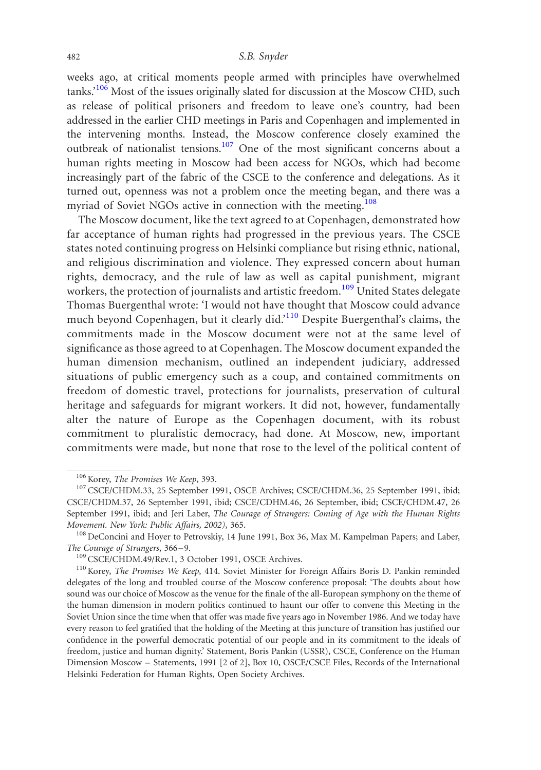weeks ago, at critical moments people armed with principles have overwhelmed tanks.<sup>106</sup> Most of the issues originally slated for discussion at the Moscow CHD, such as release of political prisoners and freedom to leave one's country, had been addressed in the earlier CHD meetings in Paris and Copenhagen and implemented in the intervening months. Instead, the Moscow conference closely examined the outbreak of nationalist tensions.[107](#page-19-1) One of the most significant concerns about a human rights meeting in Moscow had been access for NGOs, which had become increasingly part of the fabric of the CSCE to the conference and delegations. As it turned out, openness was not a problem once the meeting began, and there was a myriad of Soviet NGOs active in connection with the meeting.<sup>108</sup>

The Moscow document, like the text agreed to at Copenhagen, demonstrated how far acceptance of human rights had progressed in the previous years. The CSCE states noted continuing progress on Helsinki compliance but rising ethnic, national, and religious discrimination and violence. They expressed concern about human rights, democracy, and the rule of law as well as capital punishment, migrant workers, the protection of journalists and artistic freedom.<sup>[109](#page-19-3)</sup> United States delegate Thomas Buergenthal wrote: 'I would not have thought that Moscow could advance much beyond Copenhagen, but it clearly did.<sup>'[110](#page-19-4)</sup> Despite Buergenthal's claims, the commitments made in the Moscow document were not at the same level of significance as those agreed to at Copenhagen. The Moscow document expanded the human dimension mechanism, outlined an independent judiciary, addressed situations of public emergency such as a coup, and contained commitments on freedom of domestic travel, protections for journalists, preservation of cultural heritage and safeguards for migrant workers. It did not, however, fundamentally alter the nature of Europe as the Copenhagen document, with its robust commitment to pluralistic democracy, had done. At Moscow, new, important commitments were made, but none that rose to the level of the political content of

<span id="page-19-1"></span>

<span id="page-19-0"></span><sup>&</sup>lt;sup>106</sup>Korey, *The Promises We Keep*, 393.<br><sup>107</sup>CSCE/CHDM.33, 25 September 1991, OSCE Archives; CSCE/CHDM.36, 25 September 1991, ibid; CSCE/CHDM.37, 26 September 1991, ibid; CSCE/CDHM.46, 26 September, ibid; CSCE/CHDM.47, 26 September 1991, ibid; and Jeri Laber, The Courage of Strangers: Coming of Age with the Human Rights Movement. New York: Public Affairs, 2002), 365.<br><sup>108</sup> DeConcini and Hoyer to Petrovskiy, 14 June 1991, Box 36, Max M. Kampelman Papers; and Laber,

<span id="page-19-2"></span>

<span id="page-19-4"></span>

<span id="page-19-3"></span>The Courage of Strangers, 366–9.<br><sup>109</sup>CSCE/CHDM.49/Rev.1, 3 October 1991, OSCE Archives.<br><sup>110</sup>Korey, *The Promises We Keep*, 414. Soviet Minister for Foreign Affairs Boris D. Pankin reminded delegates of the long and troubled course of the Moscow conference proposal: 'The doubts about how sound was our choice of Moscow as the venue for the finale of the all-European symphony on the theme of the human dimension in modern politics continued to haunt our offer to convene this Meeting in the Soviet Union since the time when that offer was made five years ago in November 1986. And we today have every reason to feel gratified that the holding of the Meeting at this juncture of transition has justified our confidence in the powerful democratic potential of our people and in its commitment to the ideals of freedom, justice and human dignity.' Statement, Boris Pankin (USSR), CSCE, Conference on the Human Dimension Moscow – Statements, 1991 [2 of 2], Box 10, OSCE/CSCE Files, Records of the International Helsinki Federation for Human Rights, Open Society Archives.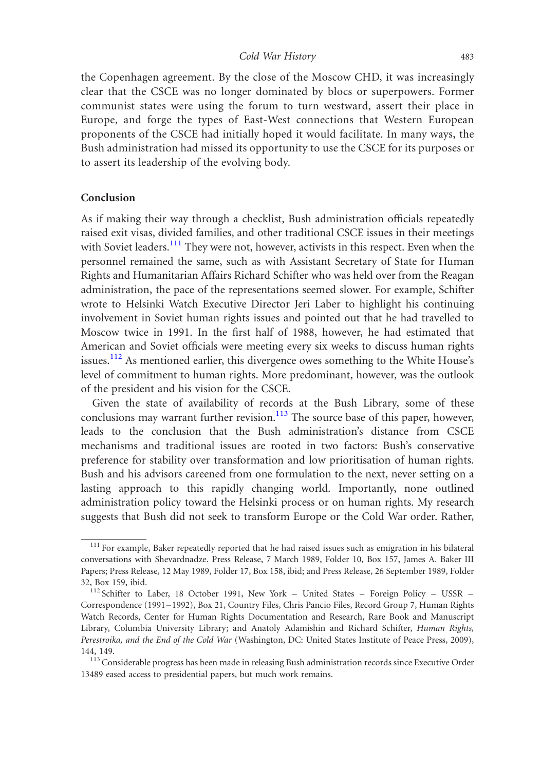the Copenhagen agreement. By the close of the Moscow CHD, it was increasingly clear that the CSCE was no longer dominated by blocs or superpowers. Former communist states were using the forum to turn westward, assert their place in Europe, and forge the types of East-West connections that Western European proponents of the CSCE had initially hoped it would facilitate. In many ways, the Bush administration had missed its opportunity to use the CSCE for its purposes or to assert its leadership of the evolving body.

# Conclusion

As if making their way through a checklist, Bush administration officials repeatedly raised exit visas, divided families, and other traditional CSCE issues in their meetings with Soviet leaders.<sup>[111](#page-20-0)</sup> They were not, however, activists in this respect. Even when the personnel remained the same, such as with Assistant Secretary of State for Human Rights and Humanitarian Affairs Richard Schifter who was held over from the Reagan administration, the pace of the representations seemed slower. For example, Schifter wrote to Helsinki Watch Executive Director Jeri Laber to highlight his continuing involvement in Soviet human rights issues and pointed out that he had travelled to Moscow twice in 1991. In the first half of 1988, however, he had estimated that American and Soviet officials were meeting every six weeks to discuss human rights issues.<sup>[112](#page-20-1)</sup> As mentioned earlier, this divergence owes something to the White House's level of commitment to human rights. More predominant, however, was the outlook of the president and his vision for the CSCE.

Given the state of availability of records at the Bush Library, some of these conclusions may warrant further revision. $113$  The source base of this paper, however, leads to the conclusion that the Bush administration's distance from CSCE mechanisms and traditional issues are rooted in two factors: Bush's conservative preference for stability over transformation and low prioritisation of human rights. Bush and his advisors careened from one formulation to the next, never setting on a lasting approach to this rapidly changing world. Importantly, none outlined administration policy toward the Helsinki process or on human rights. My research suggests that Bush did not seek to transform Europe or the Cold War order. Rather,

<span id="page-20-0"></span><sup>&</sup>lt;sup>111</sup> For example, Baker repeatedly reported that he had raised issues such as emigration in his bilateral conversations with Shevardnadze. Press Release, 7 March 1989, Folder 10, Box 157, James A. Baker III Papers; Press Release, 12 May 1989, Folder 17, Box 158, ibid; and Press Release, 26 September 1989, Folder

<span id="page-20-1"></span><sup>32,</sup> Box 159, ibid.<br><sup>112</sup> Schifter to Laber, 18 October 1991, New York – United States – Foreign Policy – USSR – Correspondence (1991–1992), Box 21, Country Files, Chris Pancio Files, Record Group 7, Human Rights Watch Records, Center for Human Rights Documentation and Research, Rare Book and Manuscript Library, Columbia University Library; and Anatoly Adamishin and Richard Schifter, Human Rights, Perestroika, and the End of the Cold War (Washington, DC: United States Institute of Peace Press, 2009),

<span id="page-20-2"></span><sup>144, 149.</sup>  $1413$  Considerable progress has been made in releasing Bush administration records since Executive Order 13489 eased access to presidential papers, but much work remains.